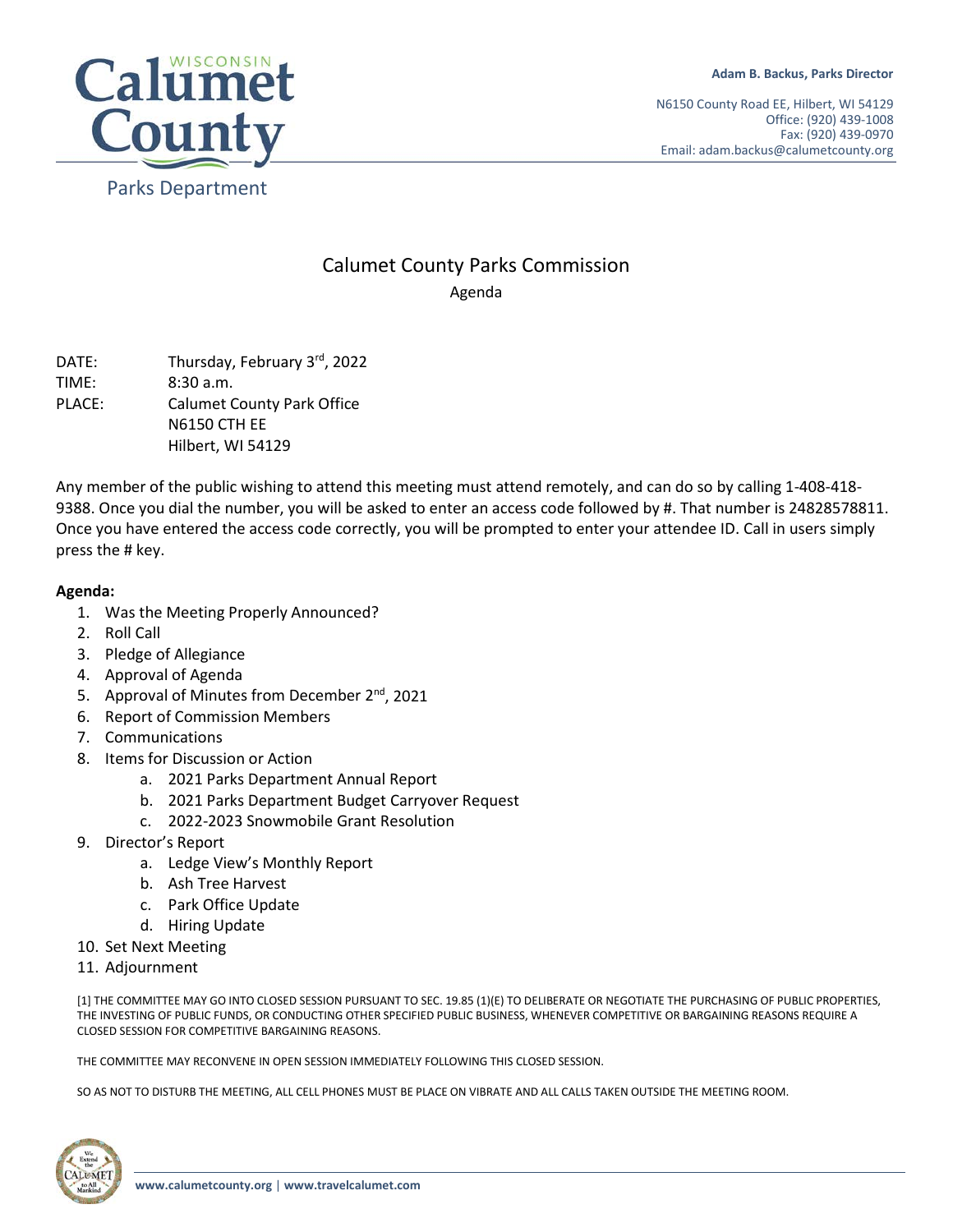

N6150 County Road EE, Hilbert, WI 54129 Office: (920) 439-1008 Fax: (920) 439-0970 Email: adam.backus@calumetcounty.org

## Calumet County Parks Commission Agenda

DATE: Thursday, February 3<sup>rd</sup>, 2022 TIME: 8:30 a.m. PLACE: Calumet County Park Office N6150 CTH EE Hilbert, WI 54129

Any member of the public wishing to attend this meeting must attend remotely, and can do so by calling 1-408-418- 9388. Once you dial the number, you will be asked to enter an access code followed by #. That number is 24828578811. Once you have entered the access code correctly, you will be prompted to enter your attendee ID. Call in users simply press the # key.

## **Agenda:**

- 1. Was the Meeting Properly Announced?
- 2. Roll Call
- 3. Pledge of Allegiance
- 4. Approval of Agenda
- 5. Approval of Minutes from December 2<sup>nd</sup>, 2021
- 6. Report of Commission Members
- 7. Communications
- 8. Items for Discussion or Action
	- a. 2021 Parks Department Annual Report
	- b. 2021 Parks Department Budget Carryover Request
	- c. 2022-2023 Snowmobile Grant Resolution
- 9. Director's Report
	- a. Ledge View's Monthly Report
	- b. Ash Tree Harvest
	- c. Park Office Update
	- d. Hiring Update
- 10. Set Next Meeting
- 11. Adjournment

[1] THE COMMITTEE MAY GO INTO CLOSED SESSION PURSUANT TO SEC. 19.85 (1)(E) TO DELIBERATE OR NEGOTIATE THE PURCHASING OF PUBLIC PROPERTIES, THE INVESTING OF PUBLIC FUNDS, OR CONDUCTING OTHER SPECIFIED PUBLIC BUSINESS, WHENEVER COMPETITIVE OR BARGAINING REASONS REQUIRE A CLOSED SESSION FOR COMPETITIVE BARGAINING REASONS.

THE COMMITTEE MAY RECONVENE IN OPEN SESSION IMMEDIATELY FOLLOWING THIS CLOSED SESSION.

SO AS NOT TO DISTURB THE MEETING, ALL CELL PHONES MUST BE PLACE ON VIBRATE AND ALL CALLS TAKEN OUTSIDE THE MEETING ROOM.